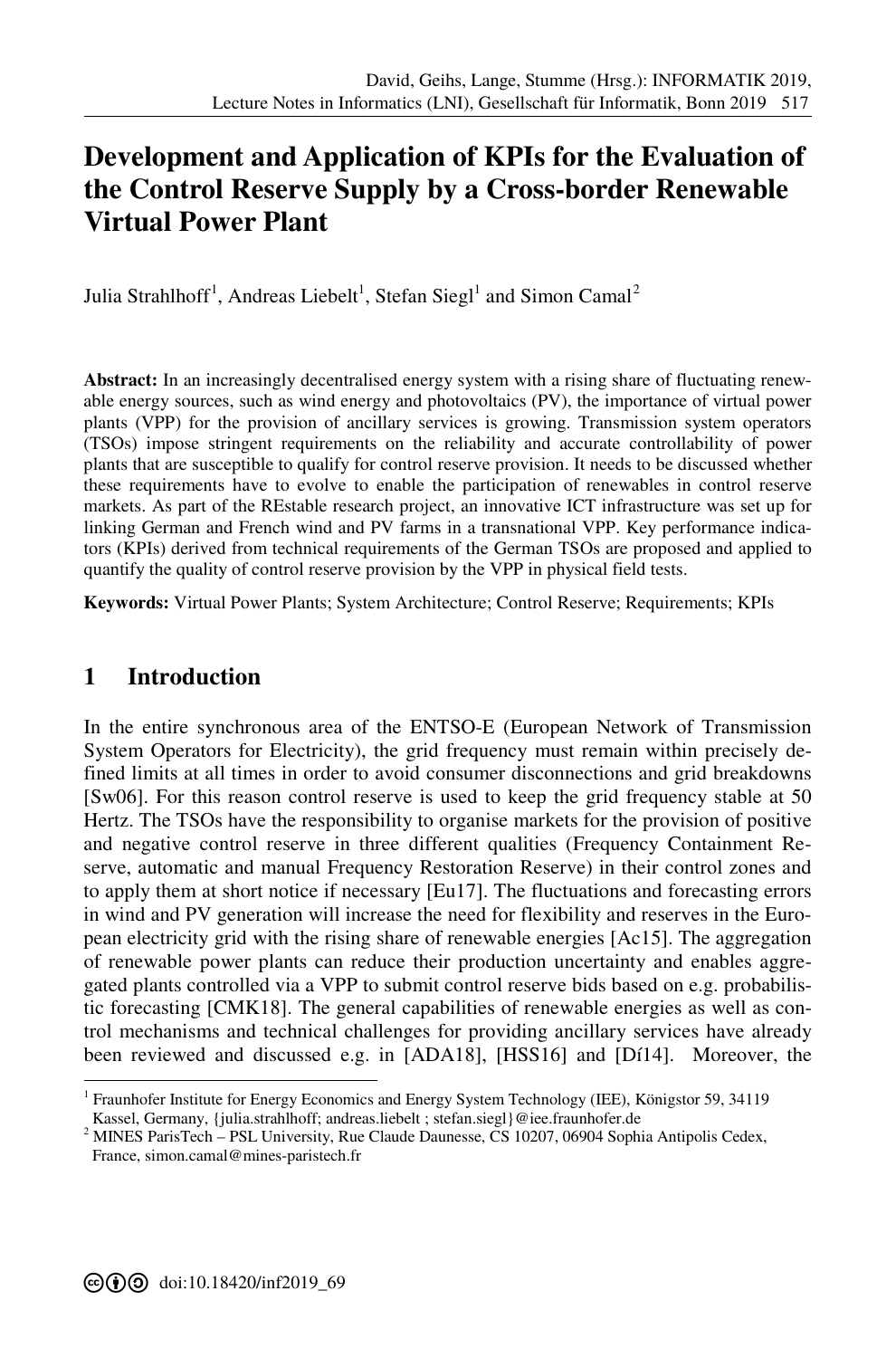# **[D](#page--1-0)evelopment and Application of KPIs for the Evaluation of the Control Reserve Supply by a Cross-border Renewable Virtual Power Plant**

Julia Strahlhoff<sup>1</sup>, Andreas Liebelt<sup>1</sup>, Stefan Siegl<sup>1</sup> and Simon Camal<sup>2</sup>

**Abstract:** In an increasingly decentralised energy system with a rising share of fluctuating renewable energy sources, such as wind energy and photovoltaics (PV), the importance of virtual power plants (VPP) for the provision of ancillary services is growing. Transmission system operators (TSOs) impose stringent requirements on the reliability and accurate controllability of power plants that are susceptible to qualify for control reserve provision. It needs to be discussed whether these requirements have to evolve to enable the participation of renewables in control reserve markets. As part of the REstable research project, an innovative ICT infrastructure was set up for linking German and French wind and PV farms in a transnational VPP. Key performance indicators (KPIs) derived from technical requirements of the German TSOs are proposed and applied to quantify the quality of control reserve provision by the VPP in physical field tests.

**Keywords:** Virtual Power Plants; System Architecture; Control Reserve; Requirements; KPIs

## **1 Introduction**

l

In the entire synchronous area of the ENTSO-E (European Network of Transmission System Operators for Electricity), the grid frequency must remain within precisely defined limits at all times in order to avoid consumer disconnections and grid breakdowns [Sw06]. For this reason control reserve is used to keep the grid frequency stable at 50 Hertz. The TSOs have the responsibility to organise markets for the provision of positive and negative control reserve in three different qualities (Frequency Containment Reserve, automatic and manual Frequency Restoration Reserve) in their control zones and to apply them at short notice if necessary [Eu17]. The fluctuations and forecasting errors in wind and PV generation will increase the need for flexibility and reserves in the European electricity grid with the rising share of renewable energies [Ac15]. The aggregation of renewable power plants can reduce their production uncertainty and enables aggregated plants controlled via a VPP to submit control reserve bids based on e.g. probabilistic forecasting [CMK18]. The general capabilities of renewable energies as well as control mechanisms and technical challenges for providing ancillary services have already been reviewed and discussed e.g. in [ADA18], [HSS16] and [Dí14]. Moreover, the

<sup>1</sup> Fraunhofer Institute for Energy Economics and Energy System Technology (IEE), Königstor 59, 34119 Kassel, Germany, {julia.strahlhoff; andreas.liebelt ; stefan.siegl}@iee.fraunhofer.de

<sup>&</sup>lt;sup>2</sup> MINES ParisTech – PSL University, Rue Claude Daunesse, CS 10207, 06904 Sophia Antipolis Cedex, France, simon.camal@mines-paristech.fr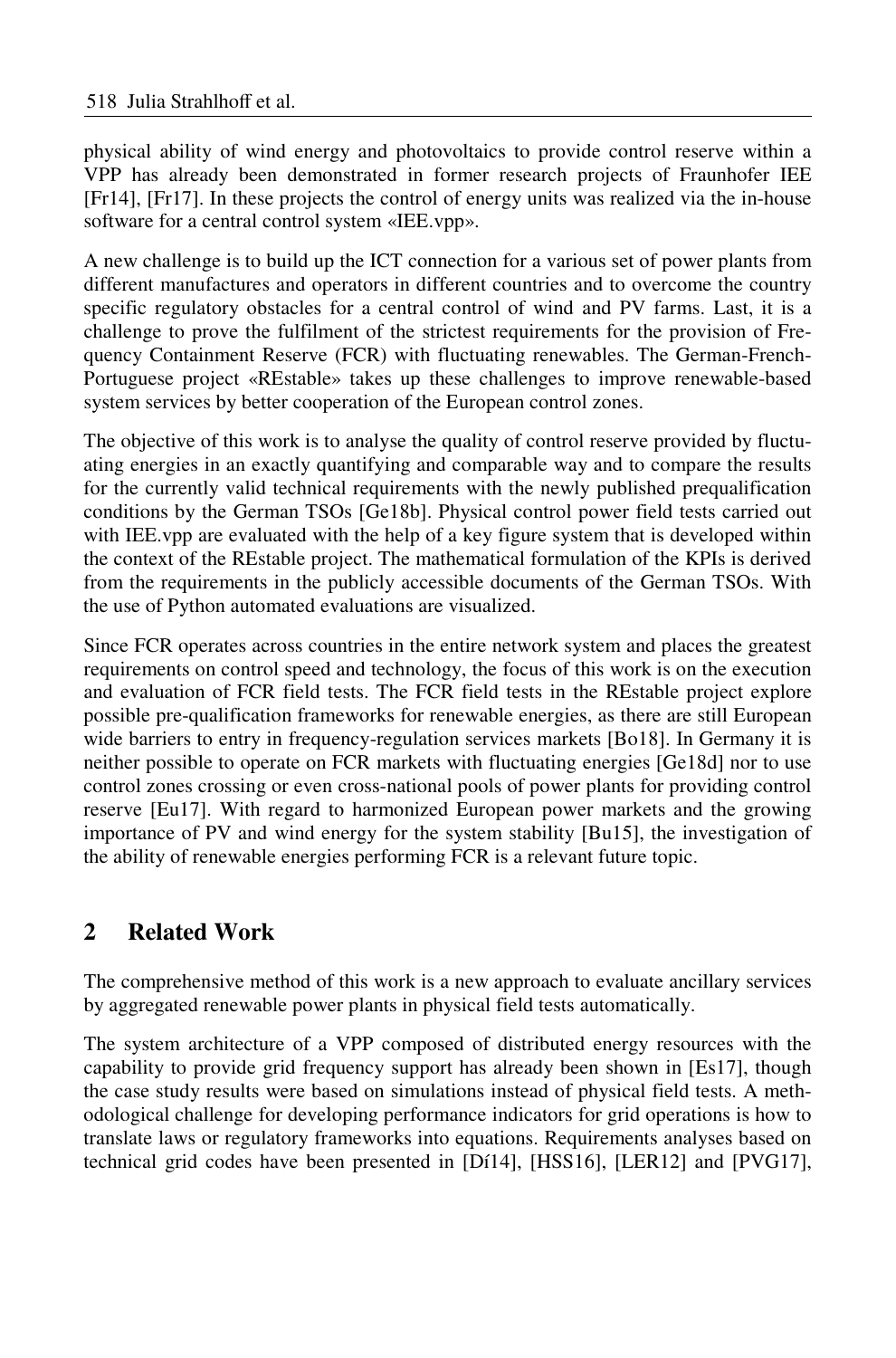physical ability of wind energy and photovoltaics to provide control reserve within a VPP has already been demonstrated in former research projects of Fraunhofer IEE [Fr14], [Fr17]. In these projects the control of energy units was realized via the in-house software for a central control system «IEE.vpp».

A new challenge is to build up the ICT connection for a various set of power plants from different manufactures and operators in different countries and to overcome the country specific regulatory obstacles for a central control of wind and PV farms. Last, it is a challenge to prove the fulfilment of the strictest requirements for the provision of Frequency Containment Reserve (FCR) with fluctuating renewables. The German-French-Portuguese project «REstable» takes up these challenges to improve renewable-based system services by better cooperation of the European control zones.

The objective of this work is to analyse the quality of control reserve provided by fluctuating energies in an exactly quantifying and comparable way and to compare the results for the currently valid technical requirements with the newly published prequalification conditions by the German TSOs [Ge18b]. Physical control power field tests carried out with IEE.vpp are evaluated with the help of a key figure system that is developed within the context of the REstable project. The mathematical formulation of the KPIs is derived from the requirements in the publicly accessible documents of the German TSOs. With the use of Python automated evaluations are visualized.

Since FCR operates across countries in the entire network system and places the greatest requirements on control speed and technology, the focus of this work is on the execution and evaluation of FCR field tests. The FCR field tests in the REstable project explore possible pre-qualification frameworks for renewable energies, as there are still European wide barriers to entry in frequency-regulation services markets [Bo18]. In Germany it is neither possible to operate on FCR markets with fluctuating energies [Ge18d] nor to use control zones crossing or even cross-national pools of power plants for providing control reserve [Eu17]. With regard to harmonized European power markets and the growing importance of PV and wind energy for the system stability [Bu15], the investigation of the ability of renewable energies performing FCR is a relevant future topic.

## **2 Related Work**

The comprehensive method of this work is a new approach to evaluate ancillary services by aggregated renewable power plants in physical field tests automatically.

The system architecture of a VPP composed of distributed energy resources with the capability to provide grid frequency support has already been shown in [Es17], though the case study results were based on simulations instead of physical field tests. A methodological challenge for developing performance indicators for grid operations is how to translate laws or regulatory frameworks into equations. Requirements analyses based on technical grid codes have been presented in [Dí14], [HSS16], [LER12] and [PVG17],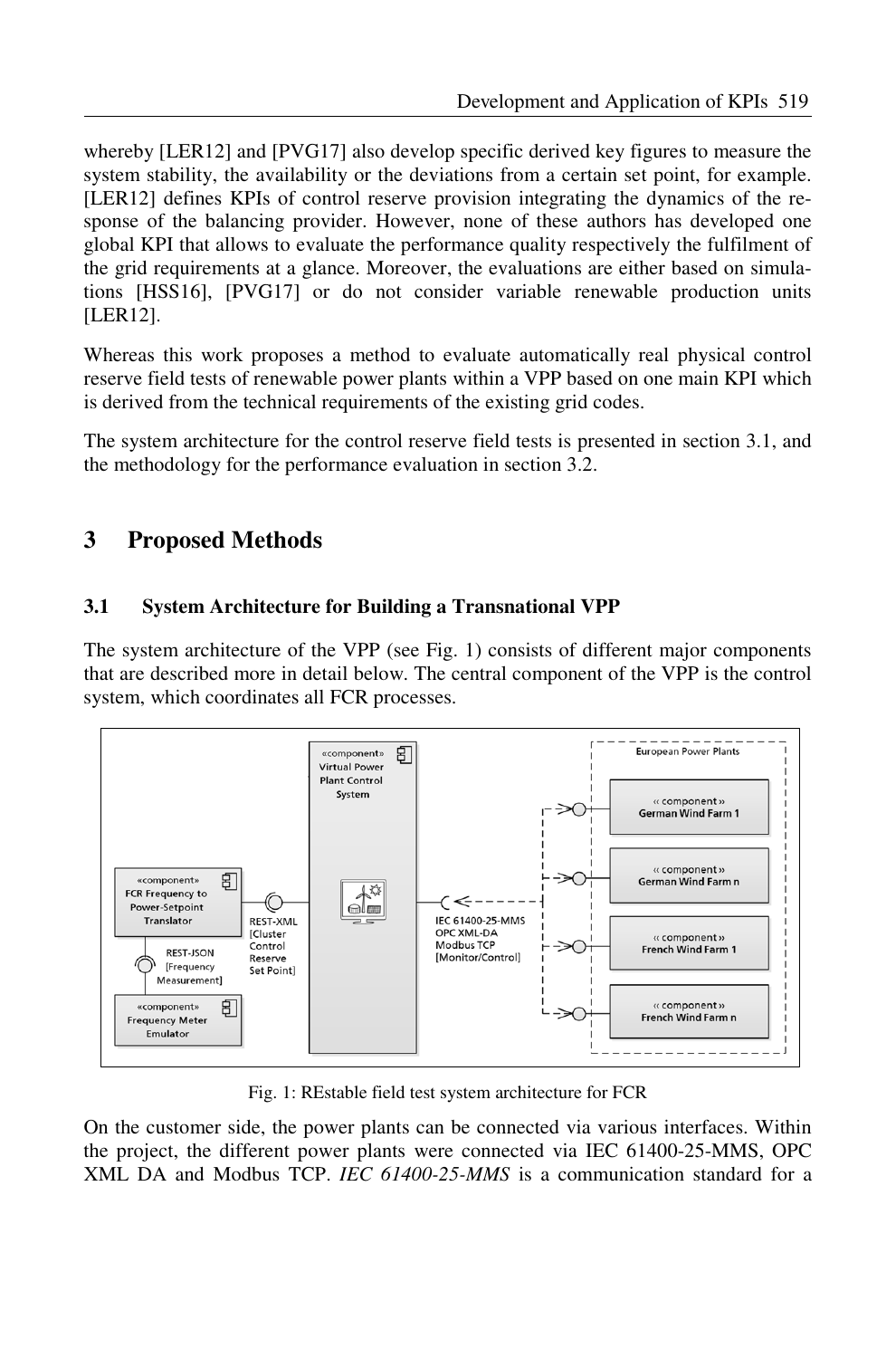whereby [LER12] and [PVG17] also develop specific derived key figures to measure the system stability, the availability or the deviations from a certain set point, for example. [LER12] defines KPIs of control reserve provision integrating the dynamics of the response of the balancing provider. However, none of these authors has developed one global KPI that allows to evaluate the performance quality respectively the fulfilment of the grid requirements at a glance. Moreover, the evaluations are either based on simulations [HSS16], [PVG17] or do not consider variable renewable production units [LER12].

Whereas this work proposes a method to evaluate automatically real physical control reserve field tests of renewable power plants within a VPP based on one main KPI which is derived from the technical requirements of the existing grid codes.

The system architecture for the control reserve field tests is presented in section 3.1, and the methodology for the performance evaluation in section 3.2.

## **3 Proposed Methods**

### **3.1 System Architecture for Building a Transnational VPP**

The system architecture of the VPP (see Fig. 1) consists of different major components that are described more in detail below. The central component of the VPP is the control system, which coordinates all FCR processes.



Fig. 1: REstable field test system architecture for FCR

On the customer side, the power plants can be connected via various interfaces. Within the project, the different power plants were connected via IEC 61400-25-MMS, OPC XML DA and Modbus TCP. *IEC 61400-25-MMS* is a communication standard for a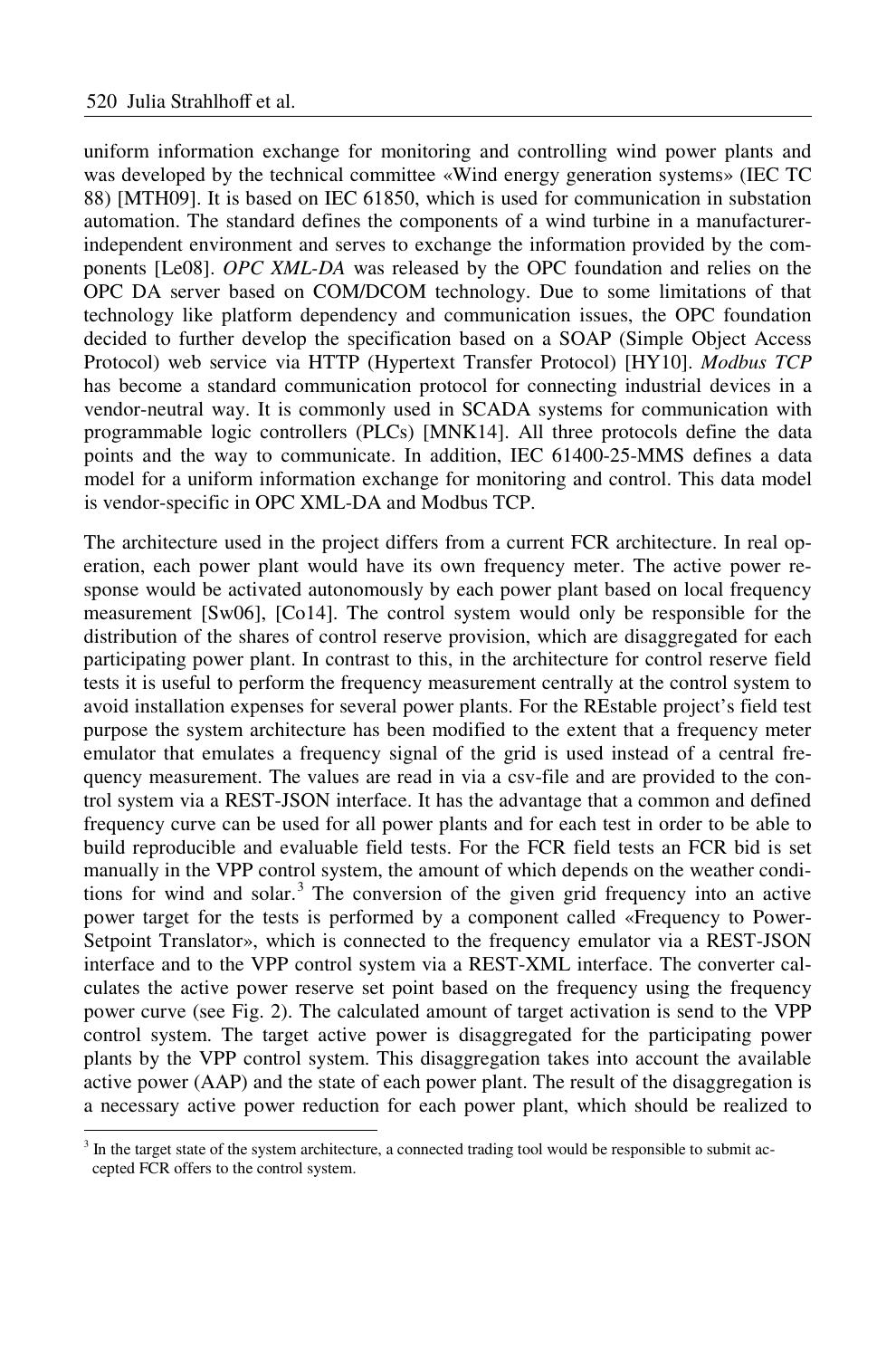-

uniform information exchange for monitoring and controlling wind power plants and was developed by the technical committee «Wind energy generation systems» (IEC TC 88) [MTH09]. It is based on IEC 61850, which is used for communication in substation automation. The standard defines the components of a wind turbine in a manufacturerindependent environment and serves to exchange the information provided by the components [Le08]. *OPC XML-DA* was released by the OPC foundation and relies on the OPC DA server based on COM/DCOM technology. Due to some limitations of that technology like platform dependency and communication issues, the OPC foundation decided to further develop the specification based on a SOAP (Simple Object Access Protocol) web service via HTTP (Hypertext Transfer Protocol) [HY10]. *Modbus TCP* has become a standard communication protocol for connecting industrial devices in a vendor-neutral way. It is commonly used in SCADA systems for communication with programmable logic controllers (PLCs) [MNK14]. All three protocols define the data points and the way to communicate. In addition, IEC 61400-25-MMS defines a data model for a uniform information exchange for monitoring and control. This data model is vendor-specific in OPC XML-DA and Modbus TCP.

The architecture used in the project differs from a current FCR architecture. In real operation, each power plant would have its own frequency meter. The active power response would be activated autonomously by each power plant based on local frequency measurement [Sw06], [Co14]. The control system would only be responsible for the distribution of the shares of control reserve provision, which are disaggregated for each participating power plant. In contrast to this, in the architecture for control reserve field tests it is useful to perform the frequency measurement centrally at the control system to avoid installation expenses for several power plants. For the REstable project's field test purpose the system architecture has been modified to the extent that a frequency meter emulator that emulates a frequency signal of the grid is used instead of a central frequency measurement. The values are read in via a csv-file and are provided to the control system via a REST-JSON interface. It has the advantage that a common and defined frequency curve can be used for all power plants and for each test in order to be able to build reproducible and evaluable field tests. For the FCR field tests an FCR bid is set manually in the VPP control system, the amount of which depends on the weather conditions for wind and solar. <sup>3</sup> The conversion of the given grid frequency into an active power target for the tests is performed by a component called «Frequency to Power-Setpoint Translator», which is connected to the frequency emulator via a REST-JSON interface and to the VPP control system via a REST-XML interface. The converter calculates the active power reserve set point based on the frequency using the frequency power curve (see Fig. 2). The calculated amount of target activation is send to the VPP control system. The target active power is disaggregated for the participating power plants by the VPP control system. This disaggregation takes into account the available active power (AAP) and the state of each power plant. The result of the disaggregation is a necessary active power reduction for each power plant, which should be realized to

<sup>&</sup>lt;sup>3</sup> In the target state of the system architecture, a connected trading tool would be responsible to submit accepted FCR offers to the control system.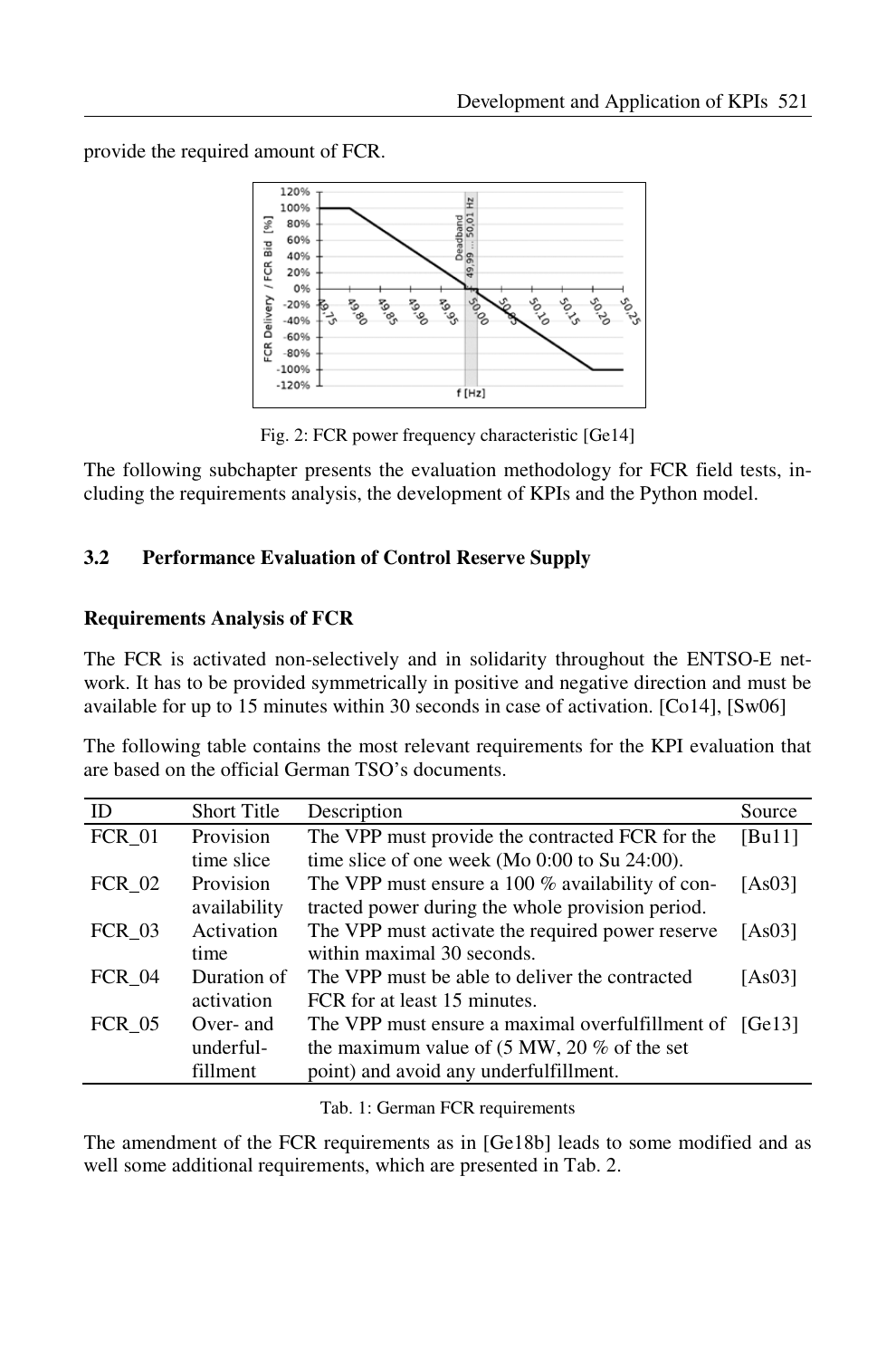provide the required amount of FCR.



Fig. 2: FCR power frequency characteristic [Ge14]

The following subchapter presents the evaluation methodology for FCR field tests, including the requirements analysis, the development of KPIs and the Python model.

### **3.2 Performance Evaluation of Control Reserve Supply**

### **Requirements Analysis of FCR**

The FCR is activated non-selectively and in solidarity throughout the ENTSO-E network. It has to be provided symmetrically in positive and negative direction and must be available for up to 15 minutes within 30 seconds in case of activation. [Co14], [Sw06]

The following table contains the most relevant requirements for the KPI evaluation that are based on the official German TSO's documents.

| ID            | <b>Short Title</b> | Description                                                     | Source |
|---------------|--------------------|-----------------------------------------------------------------|--------|
| <b>FCR 01</b> | Provision          | The VPP must provide the contracted FCR for the                 | [Bu11] |
|               | time slice         | time slice of one week (Mo 0:00 to Su 24:00).                   |        |
| $FCR_02$      | Provision          | The VPP must ensure a 100 % availability of con-                | [As03] |
|               | availability       | tracted power during the whole provision period.                |        |
| <b>FCR 03</b> | Activation         | The VPP must activate the required power reserve                | [As03] |
|               | time               | within maximal 30 seconds.                                      |        |
| <b>FCR 04</b> | Duration of        | The VPP must be able to deliver the contracted                  | [As03] |
|               | activation         | FCR for at least 15 minutes.                                    |        |
| <b>FCR 05</b> | Over- and          | The VPP must ensure a maximal overfulfillment of [Ge13]         |        |
|               | underful-          | the maximum value of $(5 \text{ MW}, 20 \% \text{ of the set})$ |        |
|               | fillment           | point) and avoid any underfulfillment.                          |        |

Tab. 1: German FCR requirements

The amendment of the FCR requirements as in [Ge18b] leads to some modified and as well some additional requirements, which are presented in Tab. 2.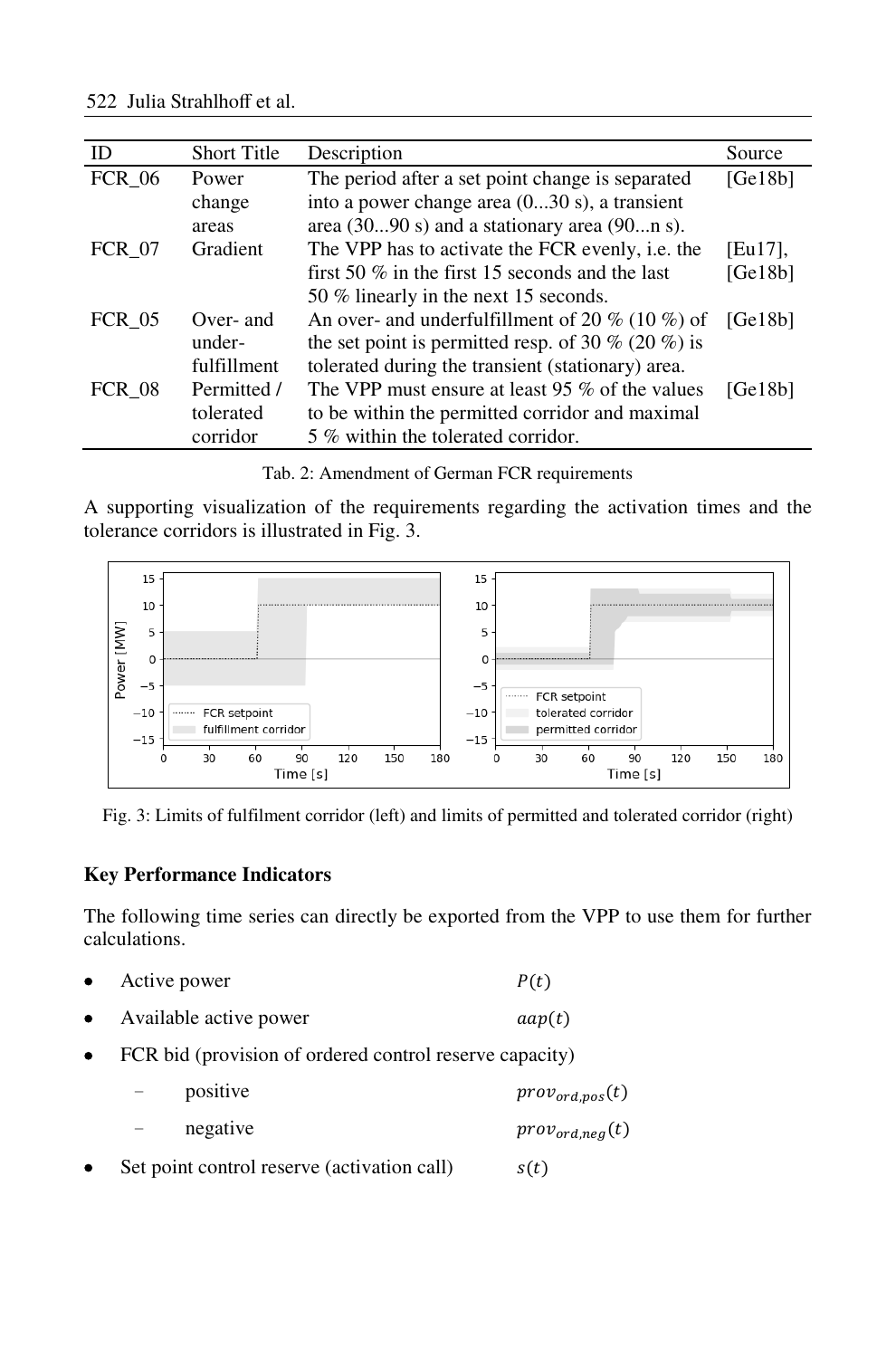| ID            | <b>Short Title</b> | Description                                               | Source     |
|---------------|--------------------|-----------------------------------------------------------|------------|
| <b>FCR 06</b> | Power              | The period after a set point change is separated          | [Ge18b]    |
|               | change             | into a power change area (030 s), a transient             |            |
|               | areas              | area $(3090 s)$ and a stationary area $(90n s)$ .         |            |
| <b>FCR 07</b> | Gradient           | The VPP has to activate the FCR evenly, i.e. the          | $[Eu17]$ , |
|               |                    | first 50 $\%$ in the first 15 seconds and the last        | [Ge18b]    |
|               |                    | 50 % linearly in the next 15 seconds.                     |            |
| <b>FCR 05</b> | Over- and          | An over- and underfulfillment of 20 % (10 %) of           | [Ge18b]    |
|               | under-             | the set point is permitted resp. of 30 $\%$ (20 $\%$ ) is |            |
|               | fulfillment        | tolerated during the transient (stationary) area.         |            |
| <b>FCR 08</b> | Permitted /        | The VPP must ensure at least 95 % of the values           | [Ge18b]    |
|               | tolerated          | to be within the permitted corridor and maximal           |            |
|               | corridor           | 5 % within the tolerated corridor.                        |            |

Tab. 2: Amendment of German FCR requirements

A supporting visualization of the requirements regarding the activation times and the tolerance corridors is illustrated in Fig. 3.



Fig. 3: Limits of fulfilment corridor (left) and limits of permitted and tolerated corridor (right)

#### **Key Performance Indicators**

The following time series can directly be exported from the VPP to use them for further calculations.

- Active power  $P(t)$
- Available active power  $aap(t)$
- FCR bid (provision of ordered control reserve capacity)
	- $\text{positive}$   $\text{prox}_{\text{ord}.\text{pos}}(t)$ − negative *prov*<sub>ord,neg</sub>(t)
- Set point control reserve (activation call)  $s(t)$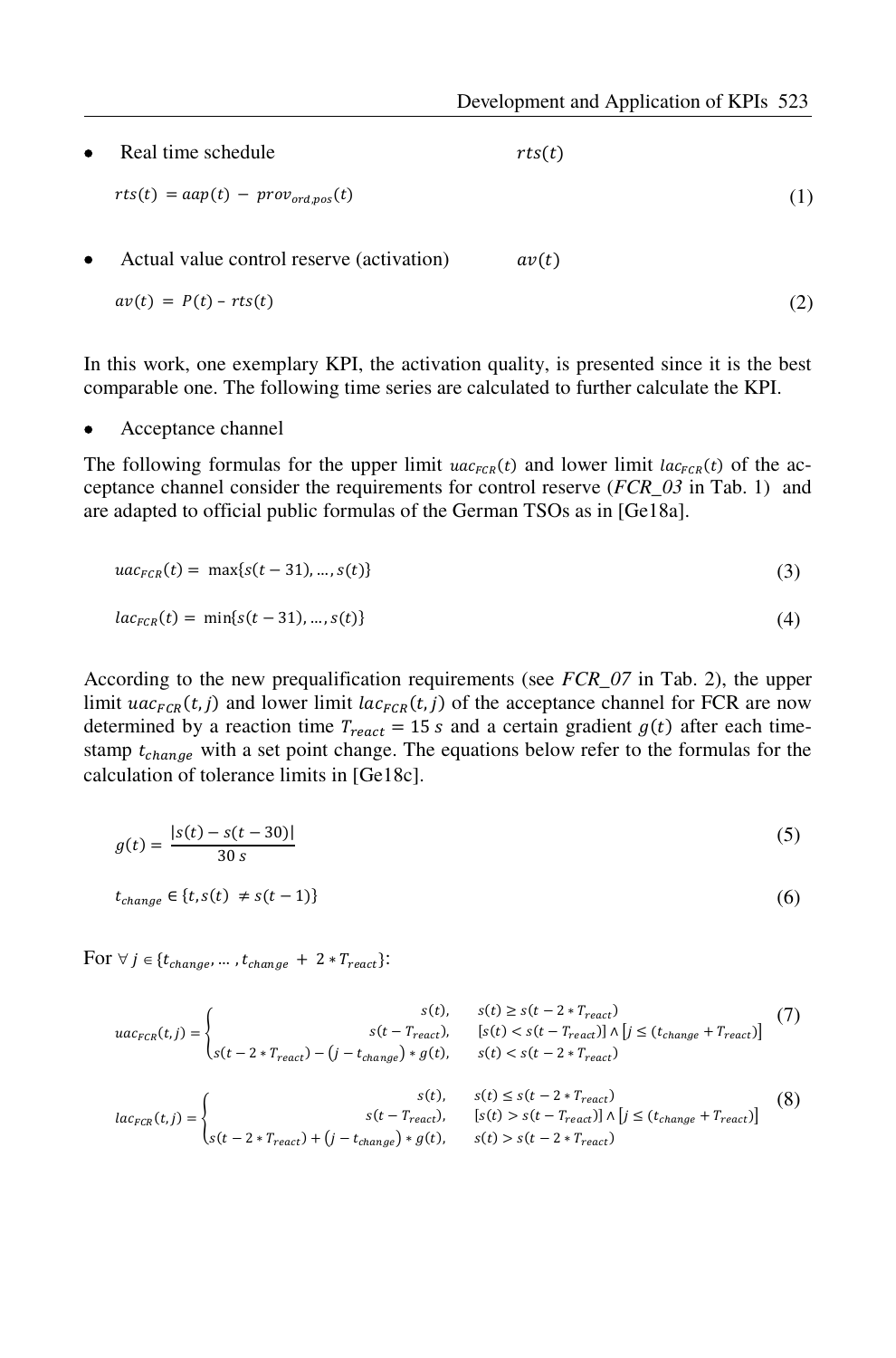Real time schedule  $rts(t)$ Actual value control reserve (activation)  $av(t)$  $rts(t) = aap(t) - prov_{ord, pos}(t)$  (1)  $av(t) = P(t) - rts(t)$  (2)

In this work, one exemplary KPI, the activation quality, is presented since it is the best comparable one. The following time series are calculated to further calculate the KPI.

• Acceptance channel

The following formulas for the upper limit  $uac_{FCR}(t)$  and lower limit  $lac_{FCR}(t)$  of the acceptance channel consider the requirements for control reserve (*FCR\_03* in Tab. 1) and are adapted to official public formulas of the German TSOs as in [Ge18a].

$$
uac_{FCR}(t) = \max\{s(t-31),...,s(t)\}\tag{3}
$$

$$
lac_{FCR}(t) = \min\{s(t-31),...,s(t)\}\tag{4}
$$

According to the new prequalification requirements (see *FCR\_07* in Tab. 2), the upper limit  $\iota ac_{FCR}(t,j)$  and lower limit  $lac_{FCR}(t,j)$  of the acceptance channel for FCR are now determined by a reaction time  $T_{react} = 15 s$  and a certain gradient  $g(t)$  after each timestamp  $t_{change}$  with a set point change. The equations below refer to the formulas for the calculation of tolerance limits in [Ge18c].

$$
g(t) = \frac{|s(t) - s(t - 30)|}{30 s}
$$
 (5)

$$
t_{change} \in \{t, s(t) \neq s(t-1)\}\tag{6}
$$

For  $\forall j \in \{t_{change}, \dots, t_{change} + 2 * T_{react}\}$ :

$$
uac_{FCR}(t,j) = \begin{cases} st(t) & s(t) \ge s(t-2*T_{react}) \\ s(t-2*T_{react}), & [s(t) < s(t-T_{react}) \land [j \le (t_{change} + T_{react})] \end{cases} (7) \\ uac_{FCR}(t,j) = \begin{cases} st(t) & s(t) < s(t-2*T_{react}) \end{cases} (8) \\ uac_{FCR}(t,j) = \begin{cases} st(t) & s(t) < s(t-2*T_{react}) \end{cases} (9) \\ s(t) & s(t) < s(t-T_{react}) \end{cases} (10)
$$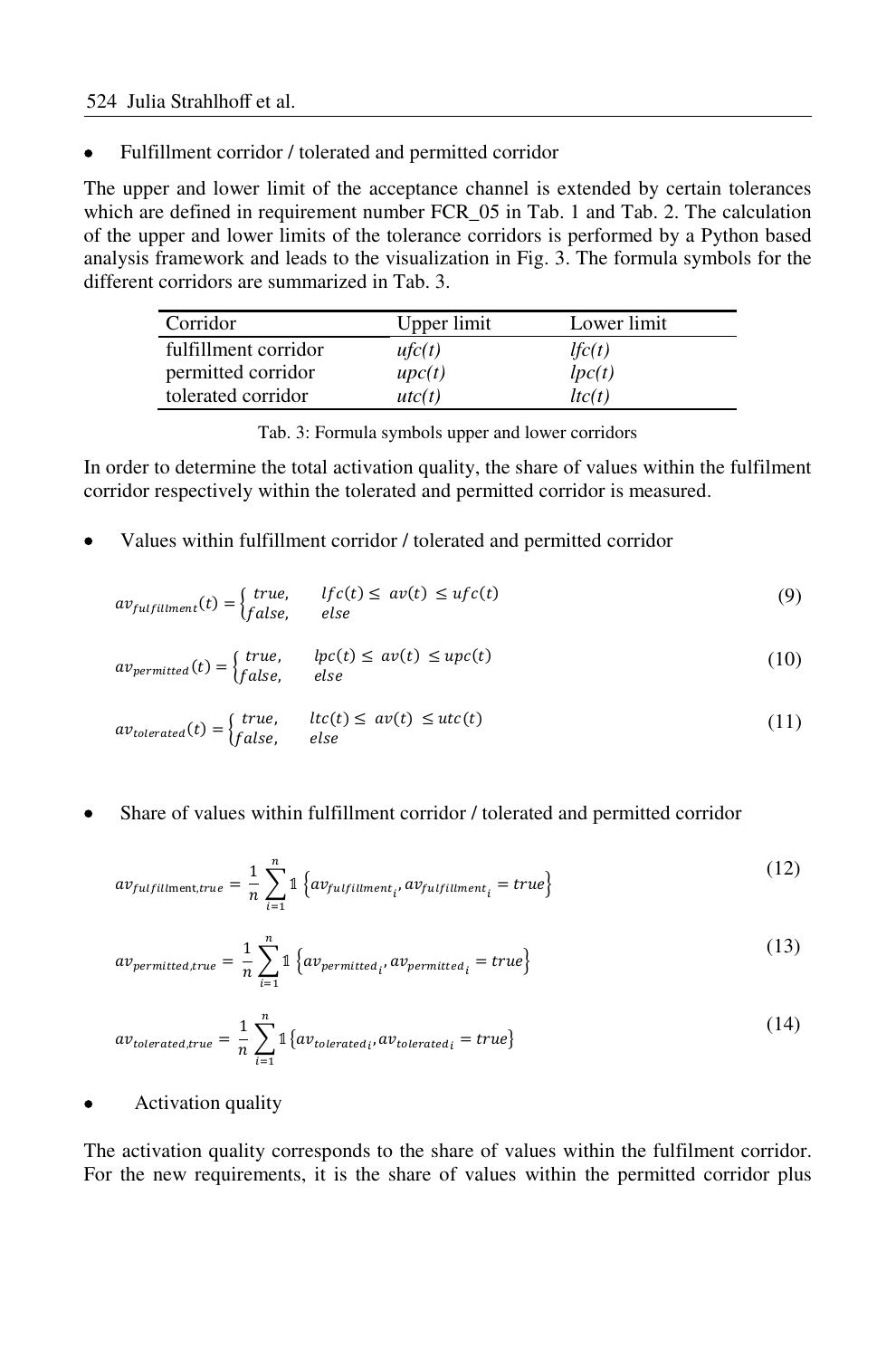• Fulfillment corridor / tolerated and permitted corridor

The upper and lower limit of the acceptance channel is extended by certain tolerances which are defined in requirement number FCR\_05 in Tab. 1 and Tab. 2. The calculation of the upper and lower limits of the tolerance corridors is performed by a Python based analysis framework and leads to the visualization in Fig. 3. The formula symbols for the different corridors are summarized in Tab. 3.

| Corridor             | Upper limit  | Lower limit |
|----------------------|--------------|-------------|
| fulfillment corridor | ufc(t)       | lfc(t)      |
| permitted corridor   | $\mu p c(t)$ | lpc(t)      |
| tolerated corridor   | utc(t)       | ltc(t)      |

Tab. 3: Formula symbols upper and lower corridors

In order to determine the total activation quality, the share of values within the fulfilment corridor respectively within the tolerated and permitted corridor is measured.

• Values within fulfillment corridor / tolerated and permitted corridor

$$
av_{fullfiliment}(t) = \begin{cases} true, & \text{if } c(t) \le av(t) \le ufc(t) \\ false, & \text{else} \end{cases} \tag{9}
$$

$$
av_{permitted}(t) = \begin{cases} true, & lpc(t) \le av(t) \le upc(t) \\ false, & else \end{cases}
$$
 (10)

$$
av_{tolerated}(t) = \begin{cases} true, & ltc(t) \le av(t) \le utc(t) \\ false, & else \end{cases}
$$
 (11)

• Share of values within fulfillment corridor / tolerated and permitted corridor

$$
av_{fullfilment, true} = \frac{1}{n} \sum_{i=1}^{n} \mathbb{1} \left\{ av_{fullfilment_{i'}} av_{fullfilment_i} = true \right\}
$$
 (12)

$$
av_{permitted,true} = \frac{1}{n} \sum_{i=1}^{n} \mathbb{1} \left\{ av_{permitted_i}, av_{permitted_i} = true \right\} \tag{13}
$$

$$
av_{tolerated,true} = \frac{1}{n} \sum_{i=1}^{n} \mathbb{1} \{ av_{tolerated_i}, av_{tolerated_i} = true \}
$$
\n
$$
(14)
$$

• Activation quality

The activation quality corresponds to the share of values within the fulfilment corridor. For the new requirements, it is the share of values within the permitted corridor plus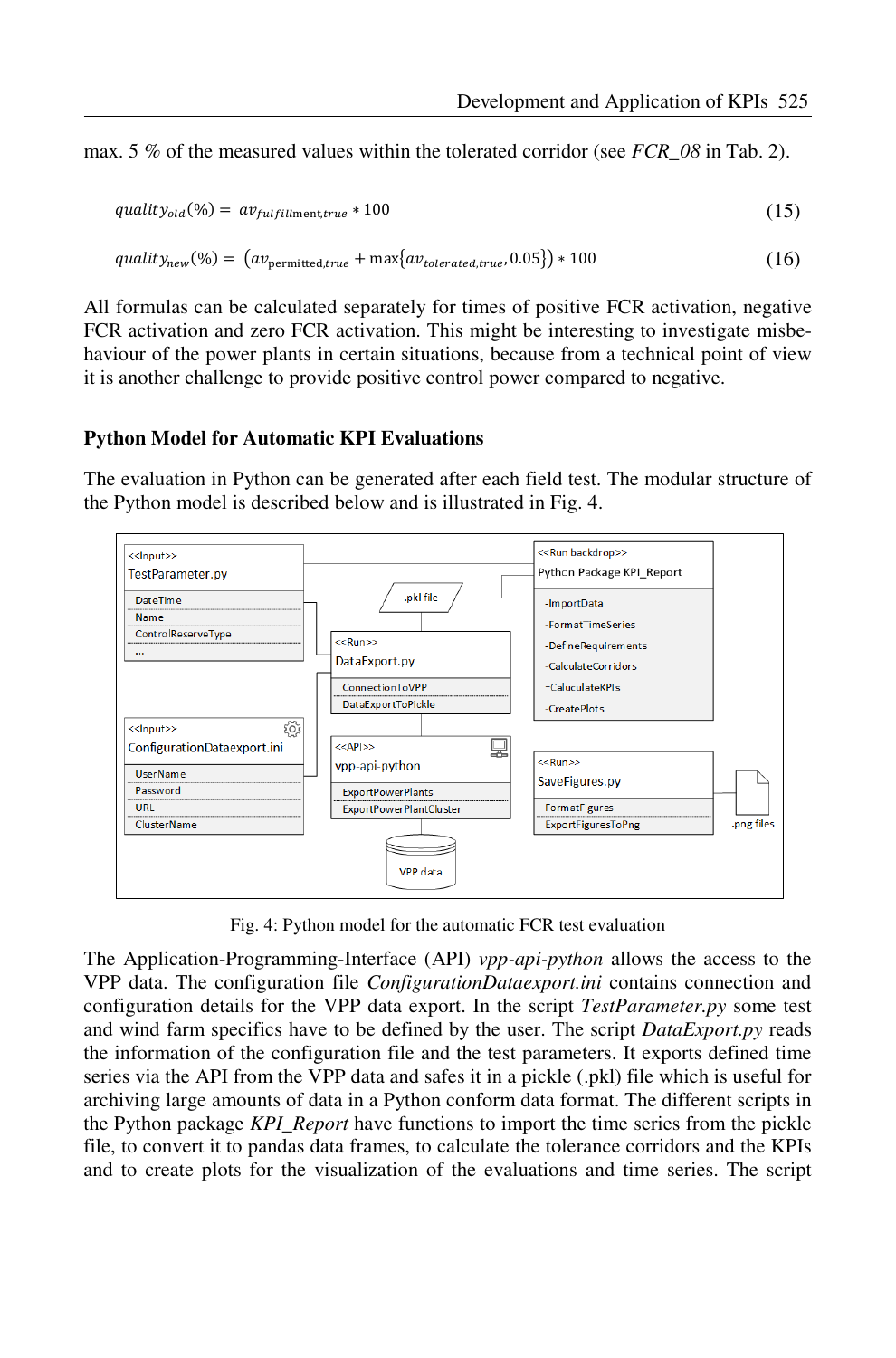max. 5 % of the measured values within the tolerated corridor (see *FCR\_08* in Tab. 2).

$$
quality_{old}(\%) = av_{fullfullment, true} * 100 \tag{15}
$$

$$
quality_{new}(%) = (av_{permitted, true} + max\{av_{tolerated, true}, 0.05\}) * 100
$$
\n(16)

All formulas can be calculated separately for times of positive FCR activation, negative FCR activation and zero FCR activation. This might be interesting to investigate misbehaviour of the power plants in certain situations, because from a technical point of view it is another challenge to provide positive control power compared to negative.

#### **Python Model for Automatic KPI Evaluations**

The evaluation in Python can be generated after each field test. The modular structure of the Python model is described below and is illustrated in Fig. 4.



Fig. 4: Python model for the automatic FCR test evaluation

The Application-Programming-Interface (API) *vpp-api-python* allows the access to the VPP data. The configuration file *ConfigurationDataexport.ini* contains connection and configuration details for the VPP data export. In the script *TestParameter.py* some test and wind farm specifics have to be defined by the user. The script *DataExport.py* reads the information of the configuration file and the test parameters. It exports defined time series via the API from the VPP data and safes it in a pickle (.pkl) file which is useful for archiving large amounts of data in a Python conform data format. The different scripts in the Python package *KPI\_Report* have functions to import the time series from the pickle file, to convert it to pandas data frames, to calculate the tolerance corridors and the KPIs and to create plots for the visualization of the evaluations and time series. The script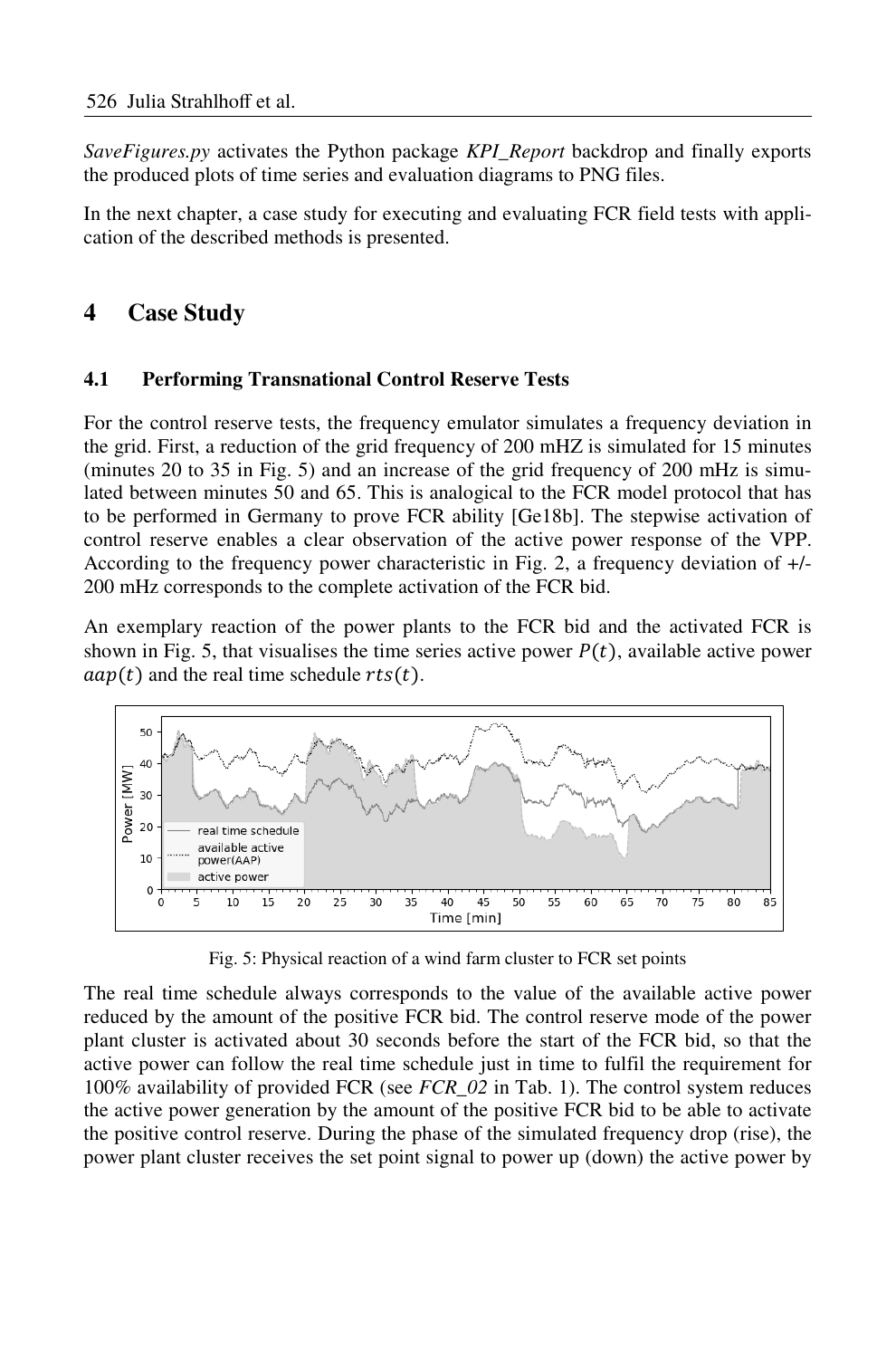*SaveFigures.py* activates the Python package *KPI\_Report* backdrop and finally exports the produced plots of time series and evaluation diagrams to PNG files.

In the next chapter, a case study for executing and evaluating FCR field tests with application of the described methods is presented.

## **4 Case Study**

### **4.1 Performing Transnational Control Reserve Tests**

For the control reserve tests, the frequency emulator simulates a frequency deviation in the grid. First, a reduction of the grid frequency of 200 mHZ is simulated for 15 minutes (minutes 20 to 35 in Fig. 5) and an increase of the grid frequency of 200 mHz is simulated between minutes 50 and 65. This is analogical to the FCR model protocol that has to be performed in Germany to prove FCR ability [Ge18b]. The stepwise activation of control reserve enables a clear observation of the active power response of the VPP. According to the frequency power characteristic in Fig. 2, a frequency deviation of +/- 200 mHz corresponds to the complete activation of the FCR bid.

An exemplary reaction of the power plants to the FCR bid and the activated FCR is shown in Fig. 5, that visualises the time series active power  $P(t)$ , available active power  $aap(t)$  and the real time schedule  $rts(t)$ .



Fig. 5: Physical reaction of a wind farm cluster to FCR set points

The real time schedule always corresponds to the value of the available active power reduced by the amount of the positive FCR bid. The control reserve mode of the power plant cluster is activated about 30 seconds before the start of the FCR bid, so that the active power can follow the real time schedule just in time to fulfil the requirement for 100% availability of provided FCR (see *FCR\_02* in Tab. 1). The control system reduces the active power generation by the amount of the positive FCR bid to be able to activate the positive control reserve. During the phase of the simulated frequency drop (rise), the power plant cluster receives the set point signal to power up (down) the active power by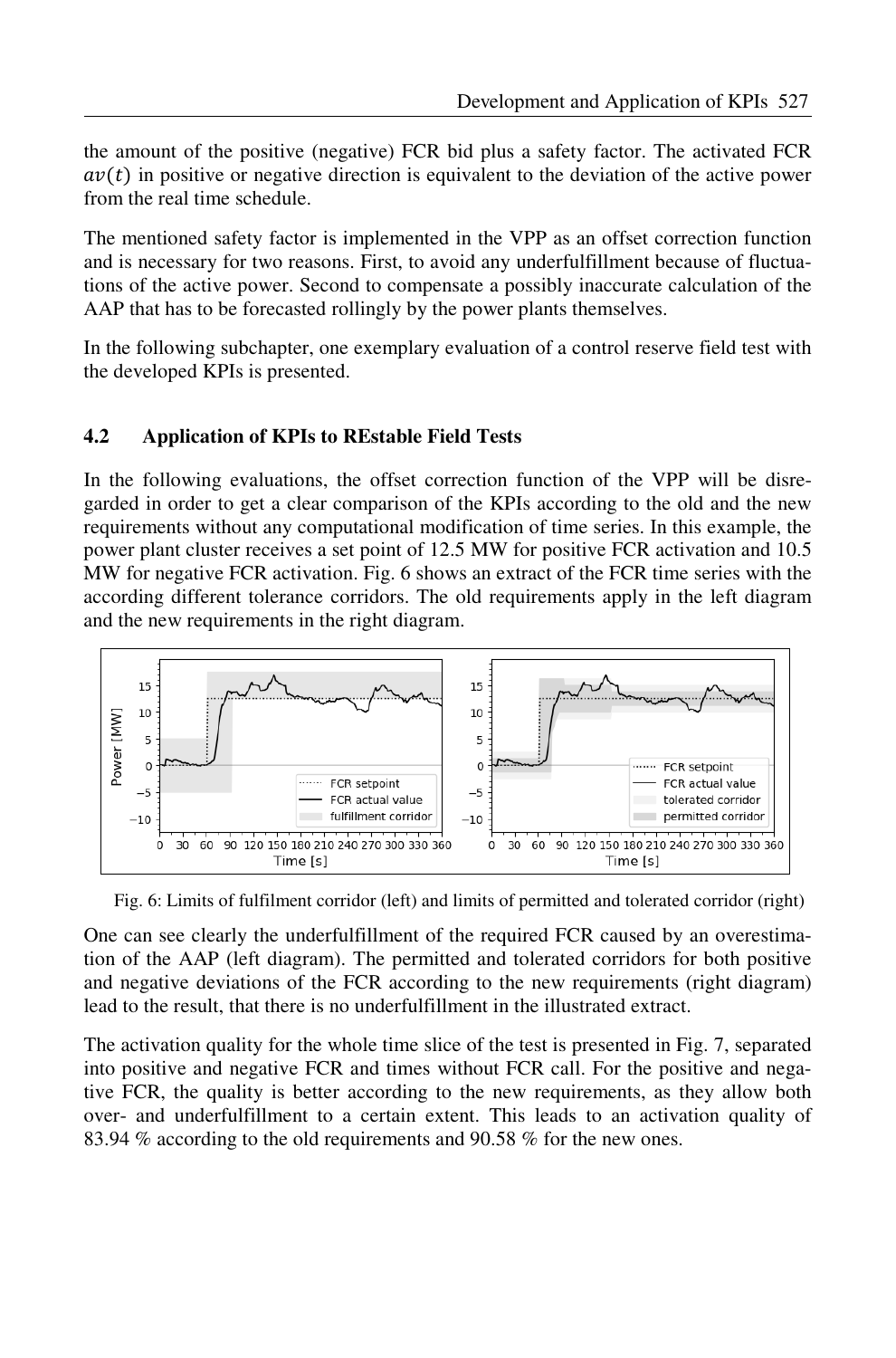the amount of the positive (negative) FCR bid plus a safety factor. The activated FCR  $av(t)$  in positive or negative direction is equivalent to the deviation of the active power from the real time schedule.

The mentioned safety factor is implemented in the VPP as an offset correction function and is necessary for two reasons. First, to avoid any underfulfillment because of fluctuations of the active power. Second to compensate a possibly inaccurate calculation of the AAP that has to be forecasted rollingly by the power plants themselves.

In the following subchapter, one exemplary evaluation of a control reserve field test with the developed KPIs is presented.

### **4.2 Application of KPIs to REstable Field Tests**

In the following evaluations, the offset correction function of the VPP will be disregarded in order to get a clear comparison of the KPIs according to the old and the new requirements without any computational modification of time series. In this example, the power plant cluster receives a set point of 12.5 MW for positive FCR activation and 10.5 MW for negative FCR activation. Fig. 6 shows an extract of the FCR time series with the according different tolerance corridors. The old requirements apply in the left diagram and the new requirements in the right diagram.



Fig. 6: Limits of fulfilment corridor (left) and limits of permitted and tolerated corridor (right)

One can see clearly the underfulfillment of the required FCR caused by an overestimation of the AAP (left diagram). The permitted and tolerated corridors for both positive and negative deviations of the FCR according to the new requirements (right diagram) lead to the result, that there is no underfulfillment in the illustrated extract.

The activation quality for the whole time slice of the test is presented in Fig. 7, separated into positive and negative FCR and times without FCR call. For the positive and negative FCR, the quality is better according to the new requirements, as they allow both over- and underfulfillment to a certain extent. This leads to an activation quality of 83.94 % according to the old requirements and 90.58 % for the new ones.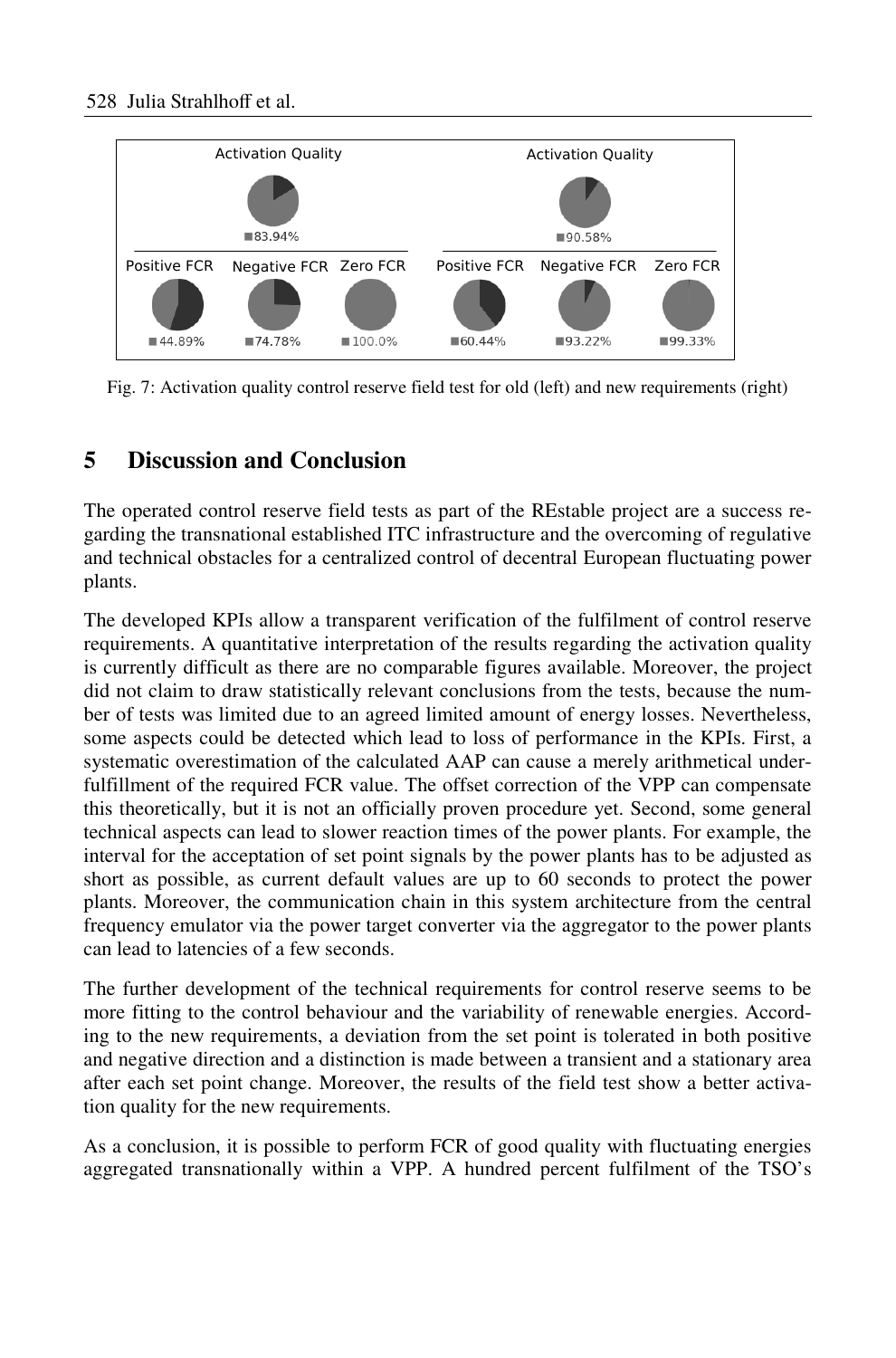

Fig. 7: Activation quality control reserve field test for old (left) and new requirements (right)

## **5 Discussion and Conclusion**

The operated control reserve field tests as part of the REstable project are a success regarding the transnational established ITC infrastructure and the overcoming of regulative and technical obstacles for a centralized control of decentral European fluctuating power plants.

The developed KPIs allow a transparent verification of the fulfilment of control reserve requirements. A quantitative interpretation of the results regarding the activation quality is currently difficult as there are no comparable figures available. Moreover, the project did not claim to draw statistically relevant conclusions from the tests, because the number of tests was limited due to an agreed limited amount of energy losses. Nevertheless, some aspects could be detected which lead to loss of performance in the KPIs. First, a systematic overestimation of the calculated AAP can cause a merely arithmetical underfulfillment of the required FCR value. The offset correction of the VPP can compensate this theoretically, but it is not an officially proven procedure yet. Second, some general technical aspects can lead to slower reaction times of the power plants. For example, the interval for the acceptation of set point signals by the power plants has to be adjusted as short as possible, as current default values are up to 60 seconds to protect the power plants. Moreover, the communication chain in this system architecture from the central frequency emulator via the power target converter via the aggregator to the power plants can lead to latencies of a few seconds.

The further development of the technical requirements for control reserve seems to be more fitting to the control behaviour and the variability of renewable energies. According to the new requirements, a deviation from the set point is tolerated in both positive and negative direction and a distinction is made between a transient and a stationary area after each set point change. Moreover, the results of the field test show a better activation quality for the new requirements.

As a conclusion, it is possible to perform FCR of good quality with fluctuating energies aggregated transnationally within a VPP. A hundred percent fulfilment of the TSO's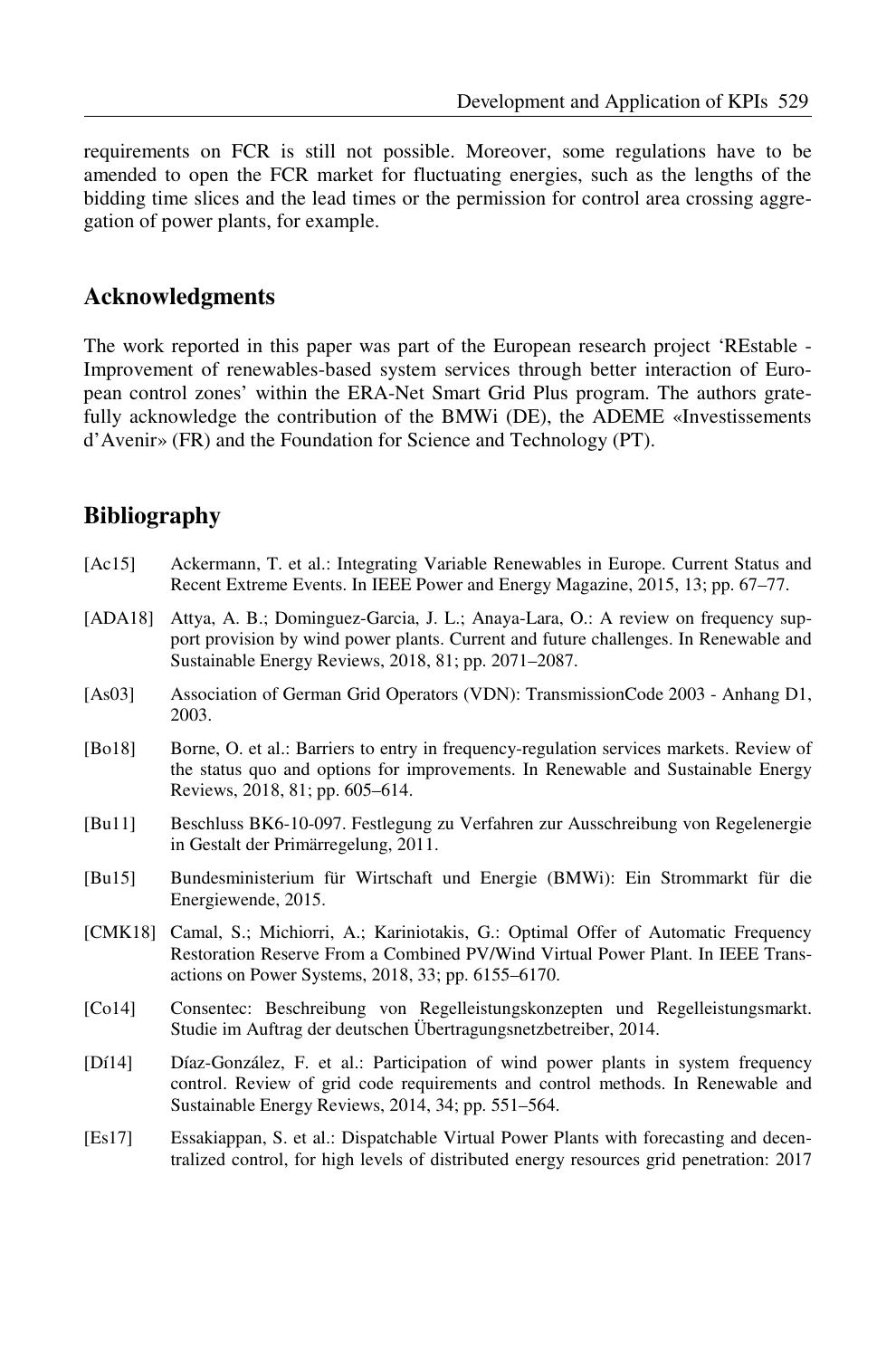requirements on FCR is still not possible. Moreover, some regulations have to be amended to open the FCR market for fluctuating energies, such as the lengths of the bidding time slices and the lead times or the permission for control area crossing aggregation of power plants, for example.

## **Acknowledgments**

The work reported in this paper was part of the European research project 'REstable - Improvement of renewables-based system services through better interaction of European control zones' within the ERA-Net Smart Grid Plus program. The authors gratefully acknowledge the contribution of the BMWi (DE), the ADEME «Investissements d'Avenir» (FR) and the Foundation for Science and Technology (PT).

## **Bibliography**

| [Ac15]  | Ackermann, T. et al.: Integrating Variable Renewables in Europe. Current Status and<br>Recent Extreme Events. In IEEE Power and Energy Magazine, 2015, 13; pp. 67–77.                                                             |
|---------|-----------------------------------------------------------------------------------------------------------------------------------------------------------------------------------------------------------------------------------|
| [ADA18] | Attya, A. B.; Dominguez-Garcia, J. L.; Anaya-Lara, O.: A review on frequency sup-<br>port provision by wind power plants. Current and future challenges. In Renewable and<br>Sustainable Energy Reviews, 2018, 81; pp. 2071–2087. |
| [As03]  | Association of German Grid Operators (VDN): TransmissionCode 2003 - Anhang D1,<br>2003.                                                                                                                                           |
| [Bo18]  | Borne, O. et al.: Barriers to entry in frequency-regulation services markets. Review of<br>the status quo and options for improvements. In Renewable and Sustainable Energy<br>Reviews, 2018, 81; pp. 605–614.                    |
| [Bul1]  | Beschluss BK6-10-097. Festlegung zu Verfahren zur Ausschreibung von Regelenergie<br>in Gestalt der Primärregelung, 2011.                                                                                                          |
| [Bul5]  | Bundesministerium für Wirtschaft und Energie (BMWi): Ein Strommarkt für die<br>Energiewende, 2015.                                                                                                                                |
|         | [CMK18] Camal, S.; Michiorri, A.; Kariniotakis, G.: Optimal Offer of Automatic Frequency<br>Restoration Reserve From a Combined PV/Wind Virtual Power Plant. In IEEE Trans-<br>actions on Power Systems, 2018, 33; pp. 6155–6170. |
| [Co14]  | Consentec: Beschreibung von Regelleistungskonzepten und Regelleistungsmarkt.<br>Studie im Auftrag der deutschen Übertragungsnetzbetreiber, 2014.                                                                                  |
| [D114]  | Díaz-González, F. et al.: Participation of wind power plants in system frequency<br>control. Review of grid code requirements and control methods. In Renewable and<br>Sustainable Energy Reviews, 2014, 34; pp. 551-564.         |
|         |                                                                                                                                                                                                                                   |

[Es17] Essakiappan, S. et al.: Dispatchable Virtual Power Plants with forecasting and decentralized control, for high levels of distributed energy resources grid penetration: 2017